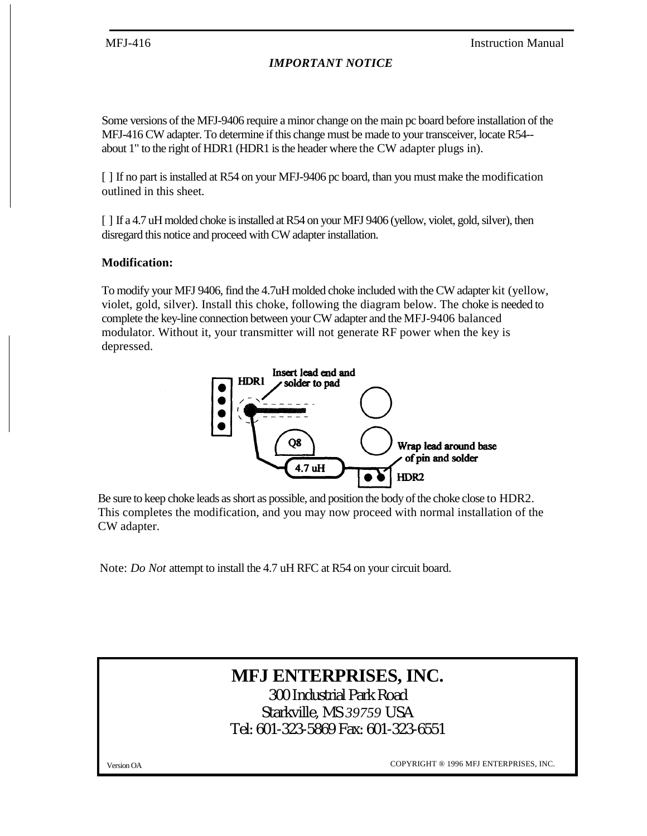# *IMPORTANT NOTICE*

Some versions of the MFJ-9406 require a minor change on the main pc board before installation of the MFJ-416 CW adapter. To determine if this change must be made to your transceiver, locate R54- about 1" to the right of HDR1 (HDR1 is the header where the CW adapter plugs in).

[ ] If no part is installed at R54 on your MFJ-9406 pc board, than you must make the modification outlined in this sheet.

[ ] If a 4.7 uH molded choke is installed at R54 on your MFJ 9406 (yellow, violet, gold, silver), then disregard this notice and proceed with CW adapter installation.

# **Modification:**

To modify your MFJ 9406, find the 4.7uH molded choke included with the CW adapter kit (yellow, violet, gold, silver). Install this choke, following the diagram below. The choke is needed to complete the key-line connection between your CW adapter and the MFJ-9406 balanced modulator. Without it, your transmitter will not generate RF power when the key is depressed.



Be sure to keep choke leads as short as possible, and position the body of the choke close to HDR2. This completes the modification, and you may now proceed with normal installation of the CW adapter.

Note: *Do Not* attempt to install the 4.7 uH RFC at R54 on your circuit board.

# **MFJ ENTERPRISES, INC.**

300 Industrial Park Road Starkville, MS *39759* USA Tel: 601-323-5869 Fax: 601-323-6551

Version OA COPYRIGHT ® 1996 MFJ ENTERPRISES, INC.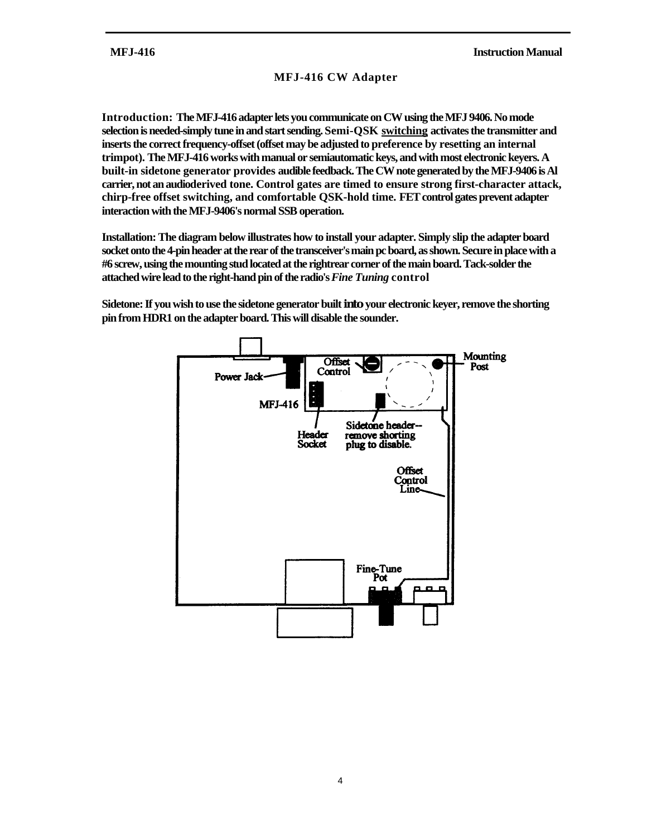### **MFJ-416 CW Adapter**

**Introduction: The MFJ-416 adapter lets you communicate on CW using the MFJ 9406. No mode selection is needed-simply tune in and start sending. Semi-QSK switching activates the transmitter and inserts the correct frequency-offset (offset may be adjusted to preference by resetting an internal trimpot). The MFJ-416 works with manual or semiautomatic keys, and with most electronic keyers. A built-in sidetone generator provides audible feedback. The CW note generated by the MFJ-9406 is Al carrier, not an audioderived tone. Control gates are timed to ensure strong first-character attack, chirp-free offset switching, and comfortable QSK-hold time. FET control gates prevent adapter interaction with the MFJ-9406's normal SSB operation.**

**Installation: The diagram below illustrates how to install your adapter. Simply slip the adapter board socket onto the 4-pin header at the rear of the transceiver's main pc board, as shown. Secure in place with a #6 screw, using the mounting stud located at the rightrear corner of the main board. Tack-solder the attached wire lead to the right-hand pin of the radio's** *Fine Tuning* **control**

**Sidetone: If you wish to use the sidetone generator built into your electronic keyer, remove the shorting pin from HDR1 on the adapter board. This will disable the sounder.**

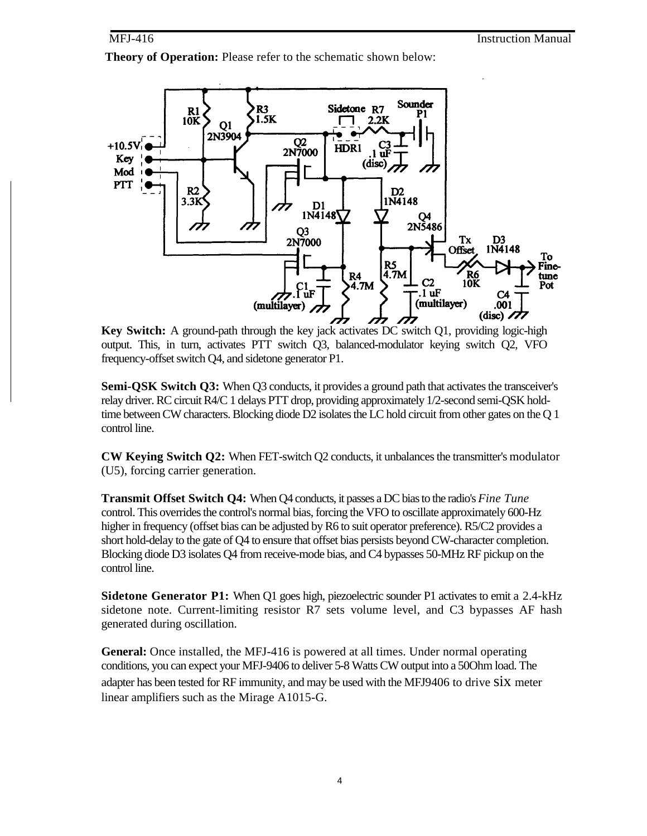#### MFJ-416

**Theory of Operation:** Please refer to the schematic shown below:



**Key Switch:** A ground-path through the key jack activates DC switch Q1, providing logic-high output. This, in turn, activates PTT switch Q3, balanced-modulator keying switch Q2, VFO frequency-offset switch Q4, and sidetone generator P1.

**Semi-QSK Switch Q3:** When Q3 conducts, it provides a ground path that activates the transceiver's relay driver. RC circuit R4/C 1 delays PTT drop, providing approximately 1/2-second semi-QSK holdtime between CW characters. Blocking diode D2 isolates the LC hold circuit from other gates on the Q 1 control line.

**CW Keying Switch Q2:** When FET-switch Q2 conducts, it unbalances the transmitter's modulator (U5), forcing carrier generation.

**Transmit Offset Switch Q4:** When Q4 conducts, it passes a DC bias to the radio's *Fine Tune* control. This overrides the control's normal bias, forcing the VFO to oscillate approximately 600-Hz higher in frequency (offset bias can be adjusted by R6 to suit operator preference). R5/C2 provides a short hold-delay to the gate of Q4 to ensure that offset bias persists beyond CW-character completion. Blocking diode D3 isolates Q4 from receive-mode bias, and C4 bypasses 50-MHz RF pickup on the control line.

**Sidetone Generator P1:** When Q1 goes high, piezoelectric sounder P1 activates to emit a 2.4-kHz sidetone note. Current-limiting resistor R7 sets volume level, and C3 bypasses AF hash generated during oscillation.

**General:** Once installed, the MFJ-416 is powered at all times. Under normal operating conditions, you can expect your MFJ-9406 to deliver 5-8 Watts CW output into a 50Ohm load. The adapter has been tested for RF immunity, and may be used with the MFJ9406 to drive six meter linear amplifiers such as the Mirage A1015-G.